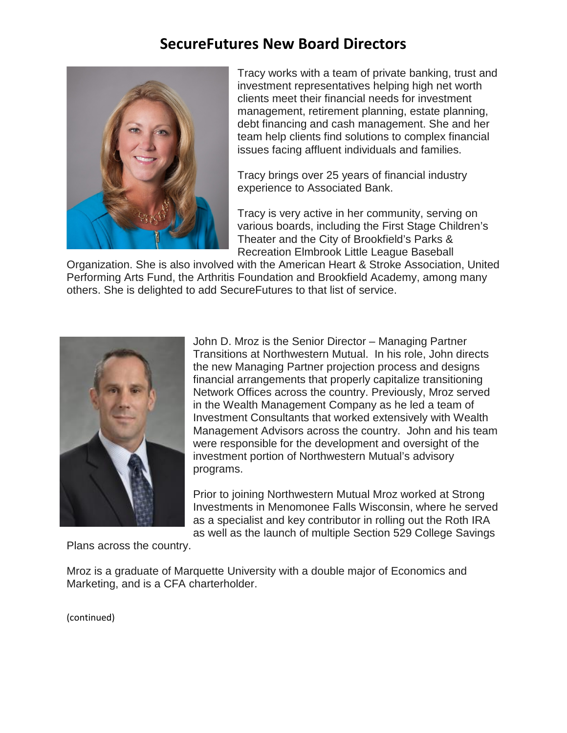## **SecureFutures New Board Directors**



Tracy works with a team of private banking, trust and investment representatives helping high net worth clients meet their financial needs for investment management, retirement planning, estate planning, debt financing and cash management. She and her team help clients find solutions to complex financial issues facing affluent individuals and families.

Tracy brings over 25 years of financial industry experience to Associated Bank.

Tracy is very active in her community, serving on various boards, including the First Stage Children's Theater and the City of Brookfield's Parks & Recreation Elmbrook Little League Baseball

Organization. She is also involved with the American Heart & Stroke Association, United Performing Arts Fund, the Arthritis Foundation and Brookfield Academy, among many others. She is delighted to add SecureFutures to that list of service.



John D. Mroz is the Senior Director – Managing Partner Transitions at Northwestern Mutual. In his role, John directs the new Managing Partner projection process and designs financial arrangements that properly capitalize transitioning Network Offices across the country. Previously, Mroz served in the Wealth Management Company as he led a team of Investment Consultants that worked extensively with Wealth Management Advisors across the country. John and his team were responsible for the development and oversight of the investment portion of Northwestern Mutual's advisory programs.

Prior to joining Northwestern Mutual Mroz worked at Strong Investments in Menomonee Falls Wisconsin, where he served as a specialist and key contributor in rolling out the Roth IRA as well as the launch of multiple Section 529 College Savings

Plans across the country.

Mroz is a graduate of Marquette University with a double major of Economics and Marketing, and is a CFA charterholder.

(continued)